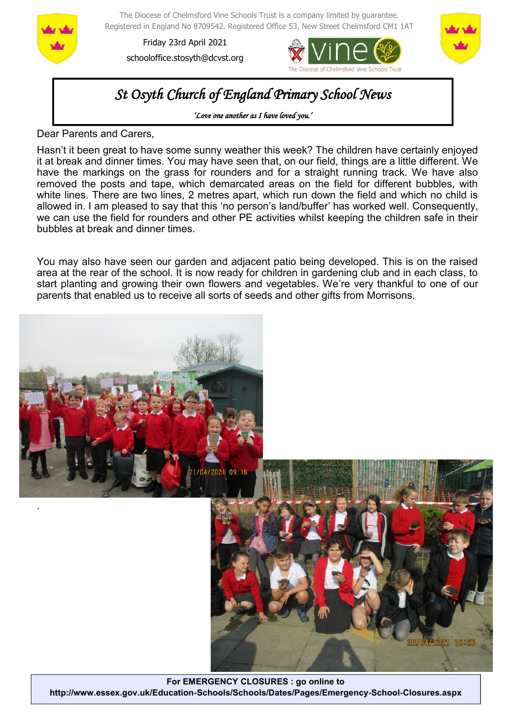

The Diocese of Chelmsford Vine Schools Trust is a company limited by guarantee. Registered in England No 8709542. Registered Office 53, New Street Chelmsford CM1 1AT

Friday 23rd April 2021 schooloffice.stosyth@dcvst.org





# *St Osyth Church of England Primary School News*

*'Love one another as I have loved you.'* 

Dear Parents and Carers,

Hasn't it been great to have some sunny weather this week? The children have certainly enjoyed it at break and dinner times. You may have seen that, on our field, things are a little different. We have the markings on the grass for rounders and for a straight running track. We have also removed the posts and tape, which demarcated areas on the field for different bubbles, with white lines. There are two lines, 2 metres apart, which run down the field and which no child is allowed in. I am pleased to say that this 'no person's land/buffer' has worked well. Consequently, we can use the field for rounders and other PE activities whilst keeping the children safe in their bubbles at break and dinner times.

You may also have seen our garden and adjacent patio being developed. This is on the raised area at the rear of the school. It is now ready for children in gardening club and in each class, to start planting and growing their own flowers and vegetables. We're very thankful to one of our parents that enabled us to receive all sorts of seeds and other gifts from Morrisons.



**For EMERGENCY CLOSURES : go online to http://www.essex.gov.uk/Education-Schools/Schools/Dates/Pages/Emergency-School-Closures.aspx**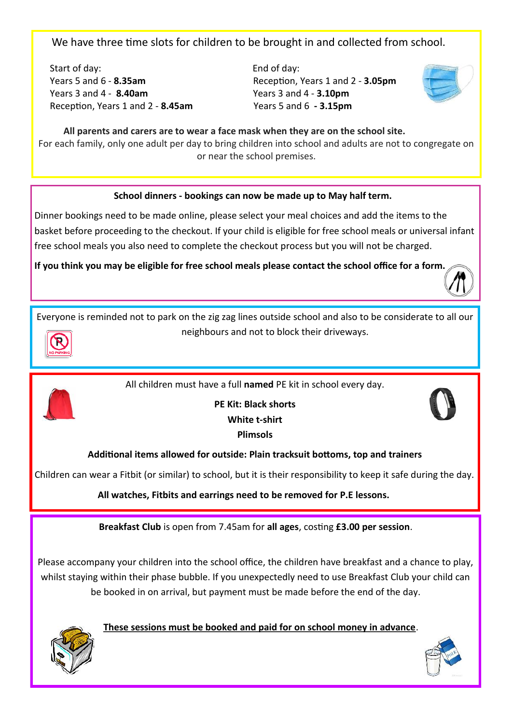We have three time slots for children to be brought in and collected from school.

Start of day: End of day: Years 5 and 6 - **8.35am** Reception, Years 1 and 2 - **3.05pm** Years 3 and 4 - **8.40am** Years 3 and 4 - **3.10pm** Reception, Years 1 and 2 - **8.45am** Years 5 and 6 **- 3.15pm**



 **All parents and carers are to wear a face mask when they are on the school site.** For each family, only one adult per day to bring children into school and adults are not to congregate on or near the school premises.

## **School dinners - bookings can now be made up to May half term.**

Dinner bookings need to be made online, please select your meal choices and add the items to the basket before proceeding to the checkout. If your child is eligible for free school meals or universal infant free school meals you also need to complete the checkout process but you will not be charged.

**If you think you may be eligible for free school meals please contact the school office for a form.** 



Everyone is reminded not to park on the zig zag lines outside school and also to be considerate to all our neighbours and not to block their driveways.



All children must have a full **named** PE kit in school every day.



**PE Kit: Black shorts White t-shirt Plimsols**



## **Additional items allowed for outside: Plain tracksuit bottoms, top and trainers**

Children can wear a Fitbit (or similar) to school, but it is their responsibility to keep it safe during the day.

**All watches, Fitbits and earrings need to be removed for P.E lessons.**

**Breakfast Club** is open from 7.45am for **all ages**, costing **£3.00 per session**.

Please accompany your children into the school office, the children have breakfast and a chance to play, whilst staying within their phase bubble. If you unexpectedly need to use Breakfast Club your child can be booked in on arrival, but payment must be made before the end of the day.